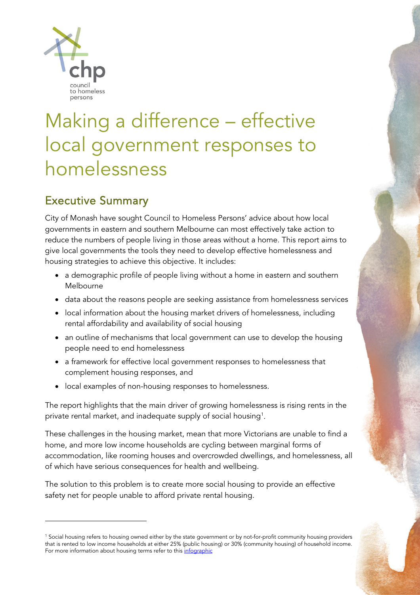

# Making a difference – effective local government responses to homelessness

# Executive Summary

City of Monash have sought Council to Homeless Persons' advice about how local governments in eastern and southern Melbourne can most effectively take action to reduce the numbers of people living in those areas without a home. This report aims to give local governments the tools they need to develop effective homelessness and housing strategies to achieve this objective. It includes:

- a demographic profile of people living without a home in eastern and southern Melbourne
- data about the reasons people are seeking assistance from homelessness services
- local information about the housing market drivers of homelessness, including rental affordability and availability of social housing
- an outline of mechanisms that local government can use to develop the housing people need to end homelessness
- a framework for effective local government responses to homelessness that complement housing responses, and
- local examples of non-housing responses to homelessness.

The report highlights that the main driver of growing homelessness is rising rents in the private rental market, and inadequate supply of social housing<sup>[1](#page-0-0)</sup>.

These challenges in the housing market, mean that more Victorians are unable to find a home, and more low income households are cycling between marginal forms of accommodation, like rooming houses and overcrowded dwellings, and homelessness, all of which have serious consequences for health and wellbeing.

The solution to this problem is to create more social housing to provide an effective safety net for people unable to afford private rental housing.

<span id="page-0-0"></span><sup>1</sup> Social housing refers to housing owned either by the state government or by not-for-profit community housing providers that is rented to low income households at either 25% (public housing) or 30% (community housing) of household income. For more information about housing terms refer to this [infographic](https://everybodyshome.com.au/housing-infographic/)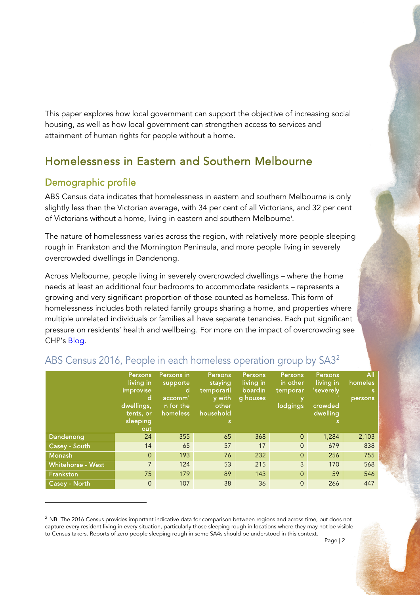This paper explores how local government can support the objective of increasing social housing, as well as how local government can strengthen access to services and attainment of human rights for people without a home.

# Homelessness in Eastern and Southern Melbourne

# Demographic profile

ABS Census data indicates that homelessness in eastern and southern Melbourne is only slightly less than the Victorian average, with 34 per cent of all Victorians, and 32 per cent of Victorians without a home, living in eastern and southern Melbourne[i](#page-15-0) .

The nature of homelessness varies across the region, with relatively more people sleeping rough in Frankston and the Mornington Peninsula, and more people living in severely overcrowded dwellings in Dandenong.

Across Melbourne, people living in severely overcrowded dwellings – where the home needs at least an additional four bedrooms to accommodate residents – represents a growing and very significant proportion of those counted as homeless. This form of homelessness includes both related family groups sharing a home, and properties where multiple unrelated individuals or families all have separate tenancies. Each put significant pressure on residents' health and wellbeing. For more on the impact of overcrowding see CHP's [Blog.](https://chp.org.au/no-room-to-breathe-why-severe-overcrowding-is-a-form-of-homelessness/)

|                   | Persons,<br>living in<br>improvise<br>d<br>dwellings,<br>tents, or<br>sleeping<br>out | Persons in<br>supporte<br>d<br>accomm'<br>n for the<br>homeless | Persons<br>staying<br>temporaril<br>y with<br>other<br>household<br>s | <b>Persons</b><br>living in<br>boardin<br>g houses | Persons,<br>in other<br>temporar<br>lodgings | <b>Persons</b><br>living in<br>'severely<br>crowded<br>dwelling<br>s | All<br>homeles<br>'s<br>persons |
|-------------------|---------------------------------------------------------------------------------------|-----------------------------------------------------------------|-----------------------------------------------------------------------|----------------------------------------------------|----------------------------------------------|----------------------------------------------------------------------|---------------------------------|
| Dandenong         | 24                                                                                    | 355                                                             | 65                                                                    | 368                                                | $\Omega$                                     | 1,284                                                                | 2,103                           |
| Casey - South     | 14                                                                                    | 65                                                              | 57                                                                    | 17                                                 | $\Omega$                                     | 679                                                                  | 838                             |
| <b>Monash</b>     | $\Omega$                                                                              | 193                                                             | 76                                                                    | 232                                                | $\Omega$                                     | 256                                                                  | 755                             |
| Whitehorse - West | 7                                                                                     | 124                                                             | 53                                                                    | 215                                                | 3                                            | 170                                                                  | 568                             |
| Frankston         | 75                                                                                    | 179                                                             | 89                                                                    | 143                                                | $\Omega$                                     | 59                                                                   | 546                             |
| Casey - North     | $\Omega$                                                                              | 107                                                             | 38                                                                    | 36                                                 | $\Omega$                                     | 266                                                                  | 447                             |

### ABS Census 2016, People in each homeless operation group by SA3[2](#page-1-0)

<span id="page-1-0"></span> $2$  NB. The 2016 Census provides important indicative data for comparison between regions and across time, but does not capture every resident living in every situation, particularly those sleeping rough in locations where they may not be visible to Census takers. Reports of zero people sleeping rough in some SA4s should be understood in this context.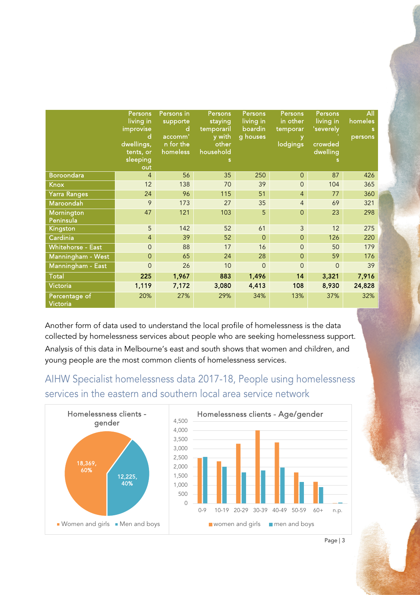|                           | <b>Persons</b><br>living in<br>improvise<br>d<br>dwellings,<br>tents, or<br>sleeping<br>out | Persons in<br>supporte<br>d<br>accomm'<br>n for the<br>homeless | Persons<br>staying<br>temporaril<br>y with<br>other<br>household | Persons<br>living in<br>boardin<br>g houses | <b>Persons</b><br>in other<br>temporar<br>lodgings | <b>Persons</b><br>living in<br>'severely<br>crowded<br>dwelling | All<br>homeles<br>s<br>persons |
|---------------------------|---------------------------------------------------------------------------------------------|-----------------------------------------------------------------|------------------------------------------------------------------|---------------------------------------------|----------------------------------------------------|-----------------------------------------------------------------|--------------------------------|
| <b>Boroondara</b>         | 4                                                                                           | 56                                                              | 35                                                               | 250                                         | $\Omega$                                           | 87                                                              | 426                            |
| <b>Knox</b>               | 12                                                                                          | 138                                                             | 70                                                               | 39                                          | $\mathbf{0}$                                       | 104                                                             | 365                            |
| <b>Yarra Ranges</b>       | 24                                                                                          | 96                                                              | 115                                                              | 51                                          | $\overline{4}$                                     | 77                                                              | 360                            |
| Maroondah                 | 9                                                                                           | 173                                                             | 27                                                               | 35                                          | $\overline{4}$                                     | 69                                                              | 321                            |
| Mornington<br>Peninsula   | 47                                                                                          | 121                                                             | 103                                                              | 5                                           | $\Omega$                                           | 23                                                              | 298                            |
| Kingston                  | 5                                                                                           | 142                                                             | 52                                                               | 61                                          | 3                                                  | 12                                                              | 275                            |
| Cardinia                  | $\overline{4}$                                                                              | 39                                                              | 52                                                               | $\Omega$                                    | $\overline{O}$                                     | 126                                                             | 220                            |
| <b>Whitehorse - East</b>  | $\overline{0}$                                                                              | 88                                                              | 17                                                               | 16                                          | $\overline{O}$                                     | 50                                                              | 179                            |
| Manningham - West         | 0                                                                                           | 65                                                              | 24                                                               | 28                                          | $\mathbf{O}$                                       | 59                                                              | 176                            |
| Manningham - East         | $\Omega$                                                                                    | 26                                                              | 10                                                               | $\Omega$                                    | $\Omega$                                           | $\Omega$                                                        | 39                             |
| <b>Total</b>              | 225                                                                                         | 1,967                                                           | 883                                                              | 1,496                                       | 14                                                 | 3,321                                                           | 7,916                          |
| Victoria                  | 1,119                                                                                       | 7,172                                                           | 3,080                                                            | 4,413                                       | 108                                                | 8,930                                                           | 24,828                         |
| Percentage of<br>Victoria | 20%                                                                                         | 27%                                                             | 29%                                                              | 34%                                         | 13%                                                | 37%                                                             | 32%                            |

Another form of data used to understand the local profile of homelessness is the data collected by homelessness services about people who are seeking homelessness support. Analysis of this data in Melbourne's east and south shows that women and children, and young people are the most common clients of homelessness services.

# AIHW Specialist homelessness data 2017-18, People using homelessness services in the eastern and southern local area service network

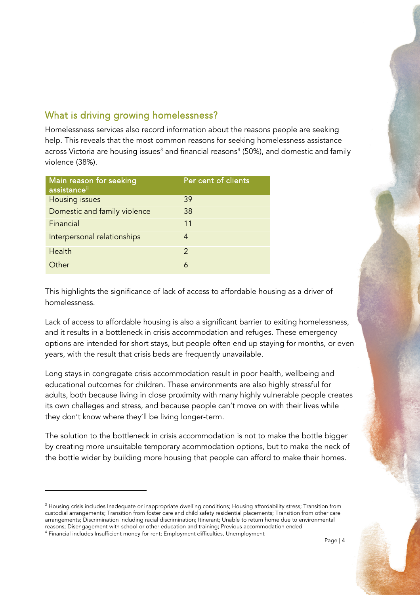### What is driving growing homelessness?

Homelessness services also record information about the reasons people are seeking help. This reveals that the most common reasons for seeking homelessness assistance across Victoria are housing issues<sup>[3](#page-3-0)</sup> and financial reasons<sup>[4](#page-3-1)</sup> (50%), and domestic and family violence (38%).

| Main reason for seeking<br>assistanceii | Per cent of clients |
|-----------------------------------------|---------------------|
| Housing issues                          | 39                  |
| Domestic and family violence            | 38                  |
| Financial                               | 11                  |
| Interpersonal relationships             | 4                   |
| <b>Health</b>                           | $\mathcal{P}$       |
| Other                                   | 6                   |

This highlights the significance of lack of access to affordable housing as a driver of homelessness.

Lack of access to affordable housing is also a significant barrier to exiting homelessness, and it results in a bottleneck in crisis accommodation and refuges. These emergency options are intended for short stays, but people often end up staying for months, or even years, with the result that crisis beds are frequently unavailable.

Long stays in congregate crisis accommodation result in poor health, wellbeing and educational outcomes for children. These environments are also highly stressful for adults, both because living in close proximity with many highly vulnerable people creates its own challeges and stress, and because people can't move on with their lives while they don't know where they'll be living longer-term.

The solution to the bottleneck in crisis accommodation is not to make the bottle bigger by creating more unsuitable temporary acommodation options, but to make the neck of the bottle wider by building more housing that people can afford to make their homes.

<span id="page-3-0"></span><sup>&</sup>lt;sup>3</sup> Housing crisis includes Inadequate or inappropriate dwelling conditions; Housing affordability stress; Transition from custodial arrangements; Transition from foster care and child safety residential placements; Transition from other care arrangements; Discrimination including racial discrimination; Itinerant; Unable to return home due to environmental reasons; Disengagement with school or other education and training; Previous accommodation ended

<span id="page-3-1"></span><sup>4</sup> Financial includes Insufficient money for rent; Employment difficulties, Unemployment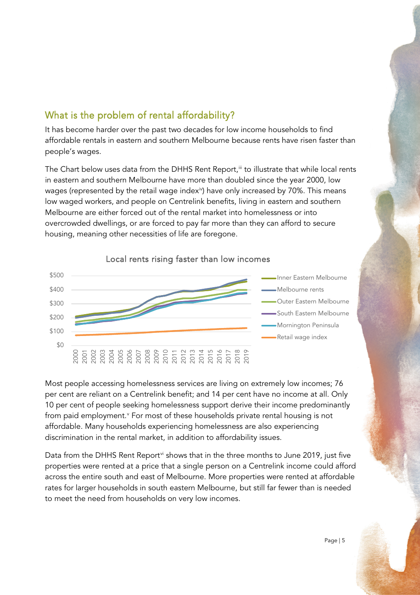# What is the problem of rental affordability?

It has become harder over the past two decades for low income households to find affordable rentals in eastern and southern Melbourne because rents have risen faster than people's wages.

The Chart below uses data from the DHHS Rent Report,"' to illustrate that while local rents in eastern and southern Melbourne have more than doubled since the year 2000, low wages (represented by the retail wage index<sup>iv</sup>) have only increased by 70%. This means low waged workers, and people on Centrelink benefits, living in eastern and southern Melbourne are either forced out of the rental market into homelessness or into overcrowded dwellings, or are forced to pay far more than they can afford to secure housing, meaning other necessities of life are foregone.



### Local rents rising faster than low incomes

Most people accessing homelessness services are living on extremely low incomes; 76 per cent are reliant on a Centrelink benefit; and 14 per cent have no income at all. Only 10 per cent of people seeking homelessness support derive their income predominantly from paid employment.<sup>[v](#page-15-4)</sup> For most of these households private rental housing is not affordable. Many households experiencing homelessness are also experiencing discrimination in the rental market, in addition to affordability issues.

Data from the DHHS Rent Report<sup>[vi](#page-15-5)</sup> shows that in the three months to June 2019, just five properties were rented at a price that a single person on a Centrelink income could afford across the entire south and east of Melbourne. More properties were rented at affordable rates for larger households in south eastern Melbourne, but still far fewer than is needed to meet the need from households on very low incomes.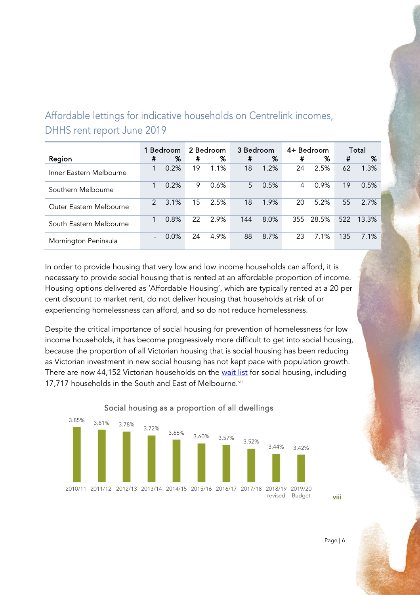# Affordable lettings for indicative households on Centrelink incomes, DHHS rent report June 2019

|                         | Bedroom       |      | 2 Bedroom |      | 3 Bedroom |      | 4+ Bedroom |       | Total |       |
|-------------------------|---------------|------|-----------|------|-----------|------|------------|-------|-------|-------|
| Region                  | #             | %    | #         | %    | #         | %    | #          | %     | #     | %     |
| Inner Eastern Melbourne |               | 0.2% | 19        | 1.1% | 18        | 1.2% | 24         | 2.5%  | 62    | 1.3%  |
| Southern Melbourne      |               | 0.2% | 9         | 0.6% | 5         | 0.5% | 4          | 0.9%  | 19    | 0.5%  |
| Outer Eastern Melbourne | $\mathcal{P}$ | 3.1% | 15        | 2.5% | 18        | 1.9% | 20         | 5.2%  | 55    | 2.7%  |
| South Eastern Melbourne | 1             | 0.8% | 22        | 2.9% | 144       | 8.0% | 355        | 28.5% | 522   | 13.3% |
| Mornington Peninsula    |               | 0.0% | 24        | 4.9% | 88        | 8.7% | 23         | 7.1%  | 135   | 7.1%  |

In order to provide housing that very low and low income households can afford, it is necessary to provide social housing that is rented at an affordable proportion of income. Housing options delivered as 'Affordable Housing', which are typically rented at a 20 per cent discount to market rent, do not deliver housing that households at risk of or experiencing homelessness can afford, and so do not reduce homelessness.

Despite the critical importance of social housing for prevention of homelessness for low income households, it has become progressively more difficult to get into social housing, because the proportion of all Victorian housing that is social housing has been reducing as Victorian investment in new social housing has not kept pace with population growth. There are now 44,152 Victorian households on the [wait list](https://www.housing.vic.gov.au/victorian-housing-register-and-transfer-list-june-2019-0) for social housing, including 17,717 households in the South and East of Melbourne.<sup>vii</sup>



Social housing as a proportion of all dwellings

Page | 6

[viii](#page-15-7)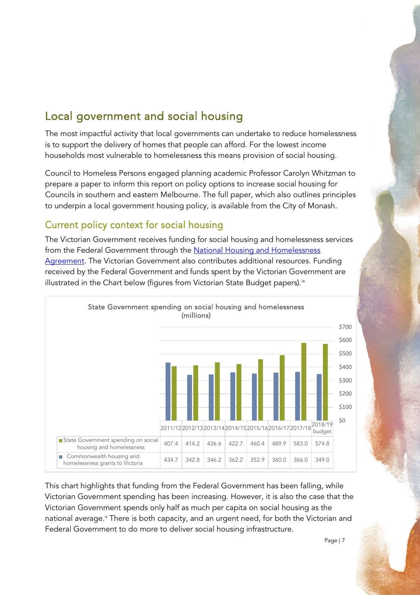# Local government and social housing

The most impactful activity that local governments can undertake to reduce homelessness is to support the delivery of homes that people can afford. For the lowest income households most vulnerable to homelessness this means provision of social housing.

Council to Homeless Persons engaged planning academic Professor Carolyn Whitzman to prepare a paper to inform this report on policy options to increase social housing for Councils in southern and eastern Melbourne. The full paper, which also outlines principles to underpin a local government housing policy, is available from the City of Monash.

### Current policy context for social housing

The Victorian Government receives funding for social housing and homelessness services from the Federal Government through the [National Housing and Homelessness](http://federalfinancialrelations.gov.au/content/housing_homelessness_agreement.aspx)  [Agreement.](http://federalfinancialrelations.gov.au/content/housing_homelessness_agreement.aspx) The Victorian Government also contributes additional resources. Funding received by the Federal Government and funds spent by the Victorian Government are illustrated in the Chart below (figures from Victorian State Budget papers). $^{\mathrm{ix}}$  $^{\mathrm{ix}}$  $^{\mathrm{ix}}$ 



This chart highlights that funding from the Federal Government has been falling, while Victorian Government spending has been increasing. However, it is also the case that the Victorian Government spends only half as much per capita on social housing as the national average.<sup>[x](#page-15-9)</sup> There is both capacity, and an urgent need, for both the Victorian and Federal Government to do more to deliver social housing infrastructure.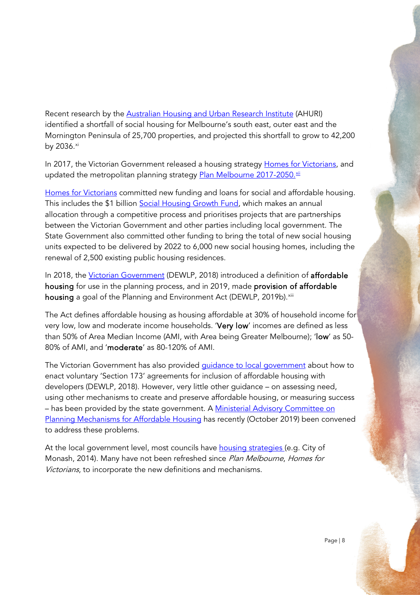Recent research by the **Australian Housing and Urban Research Institute** (AHURI) identified a shortfall of social housing for Melbourne's south east, outer east and the Mornington Peninsula of 25,700 properties, and projected this shortfall to grow to 42,200 by 2036.[xi](#page-15-10)

In 2017, the Victorian Government released a housing strategy [Homes for Victorians,](https://www.vic.gov.au/about-homes-victorians-policy) and updated the metropolitan planning strategy <u>Plan Melbourne 2017-2050.<sup>xii</sup></u>

[Homes for Victorians](https://www.vic.gov.au/about-homes-victorians-policy) committed new funding and loans for social and affordable housing. This includes the \$1 billion [Social Housing Growth Fund,](https://www.dhhs.vic.gov.au/victorian-social-housing-growth-fund) which makes an annual allocation through a competitive process and prioritises projects that are partnerships between the Victorian Government and other parties including local government. The State Government also committed other funding to bring the total of new social housing units expected to be delivered by 2022 to 6,000 new social housing homes, including the renewal of 2,500 existing public housing residences.

In 2018, the [Victorian Government](https://www.planning.vic.gov.au/policy-and-strategy/affordable-housing) (DEWLP, 2018) introduced a definition of affordable housing for use in the planning process, and in 2019, made provision of affordable housing a goal of the Planning and Environment Act (DEWLP, 2019b).<sup>[xiii](#page-15-12)</sup>

The Act defines affordable housing as housing affordable at 30% of household income for very low, low and moderate income households. 'Very low' incomes are defined as less than 50% of Area Median Income (AMI, with Area being Greater Melbourne); 'low' as 50- 80% of AMI, and 'moderate' as 80-120% of AMI.

The Victorian Government has also provided quidance to local government about how to enact voluntary 'Section 173' agreements for inclusion of affordable housing with developers (DEWLP, 2018). However, very little other guidance – on assessing need, using other mechanisms to create and preserve affordable housing, or measuring success – has been provided by the state government. A [Ministerial Advisory Committee on](https://www.planning.vic.gov.au/policy-and-strategy/affordable-housing/planning-mechanisms-for-affordable-housing-advisory-committee) [Planning Mechanisms for Affordable Housing](https://www.planning.vic.gov.au/policy-and-strategy/affordable-housing/planning-mechanisms-for-affordable-housing-advisory-committee) has recently (October 2019) been convened to address these problems.

At the local government level, most councils have [housing strategies](https://www.monash.vic.gov.au/Building-Planning/Strategic-Planning/Housing-Strategy) (e.g. City of Monash, 2014). Many have not been refreshed since Plan Melbourne, Homes for Victorians, to incorporate the new definitions and mechanisms.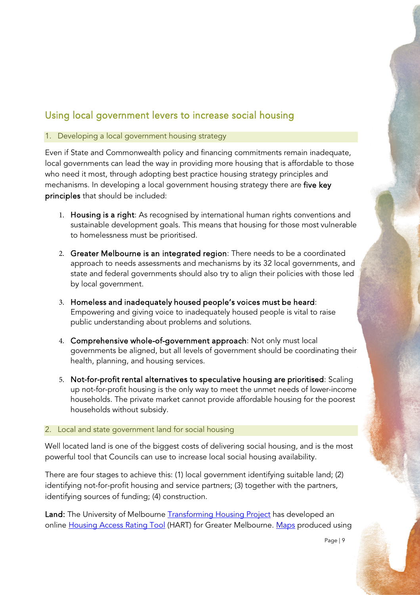## Using local government levers to increase social housing

### 1. Developing a local government housing strategy

Even if State and Commonwealth policy and financing commitments remain inadequate, local governments can lead the way in providing more housing that is affordable to those who need it most, through adopting best practice housing strategy principles and mechanisms. In developing a local government housing strategy there are five key principles that should be included:

- 1. Housing is a right: As recognised by international human rights conventions and sustainable development goals. This means that housing for those most vulnerable to homelessness must be prioritised.
- 2. Greater Melbourne is an integrated region: There needs to be a coordinated approach to needs assessments and mechanisms by its 32 local governments, and state and federal governments should also try to align their policies with those led by local government.
- 3. Homeless and inadequately housed people's voices must be heard: Empowering and giving voice to inadequately housed people is vital to raise public understanding about problems and solutions.
- 4. Comprehensive whole-of-government approach: Not only must local governments be aligned, but all levels of government should be coordinating their health, planning, and housing services.
- 5. Not-for-profit rental alternatives to speculative housing are prioritised: Scaling up not-for-profit housing is the only way to meet the unmet needs of lower-income households. The private market cannot provide affordable housing for the poorest households without subsidy.

### 2. Local and state government land for social housing

Well located land is one of the biggest costs of delivering social housing, and is the most powerful tool that Councils can use to increase local social housing availability.

There are four stages to achieve this: (1) local government identifying suitable land; (2) identifying not-for-profit housing and service partners; (3) together with the partners, identifying sources of funding; (4) construction.

Land: The University of Melbourne [Transforming Housing Project](https://msd.unimelb.edu.au/research/projects/current/transforming-housing/affordable-housing-tools/housing-access-rating-tool-hart) has developed an online [Housing Access Rating Tool](https://msd.unimelb.edu.au/research/projects/current/transforming-housing/affordable-housing-tools/housing-access-rating-tool-hart) (HART) for Greater Melbourne. [Maps](https://msd.unimelb.edu.au/__data/assets/pdf_file/0004/2876008/Project-3000-Producing-Social-and-Affordable-Housing-on-Government-Land.pdf) produced using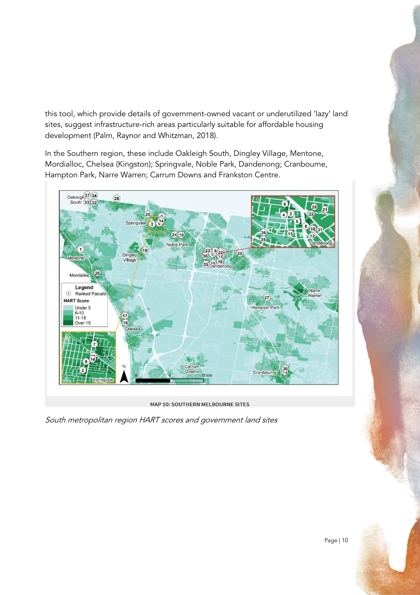this tool, which provide details of government-owned vacant or underutilized 'lazy' land sites, suggest infrastructure-rich areas particularly suitable for affordable housing development (Palm, Raynor and Whitzman, 2018).

In the Southern region, these include Oakleigh South, Dingley Village, Mentone, Mordialloc, Chelsea (Kingston); Springvale, Noble Park, Dandenong; Cranbourne, Hampton Park, Narre Warren; Carrum Downs and Frankston Centre.



MAP 10: SOUTHERN MELBOURNE SITES

South metropolitan region HART scores and government land sites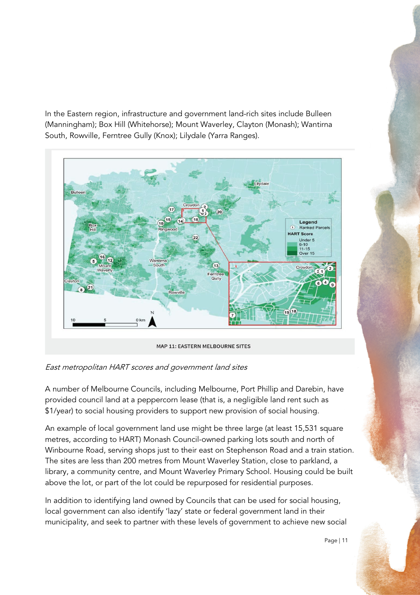In the Eastern region, infrastructure and government land-rich sites include Bulleen (Manningham); Box Hill (Whitehorse); Mount Waverley, Clayton (Monash); Wantirna South, Rowville, Ferntree Gully (Knox); Lilydale (Yarra Ranges).



East metropolitan HART scores and government land sites

A number of Melbourne Councils, including Melbourne, Port Phillip and Darebin, have provided council land at a peppercorn lease (that is, a negligible land rent such as \$1/year) to social housing providers to support new provision of social housing.

An example of local government land use might be three large (at least 15,531 square metres, according to HART) Monash Council-owned parking lots south and north of Winbourne Road, serving shops just to their east on Stephenson Road and a train station. The sites are less than 200 metres from Mount Waverley Station, close to parkland, a library, a community centre, and Mount Waverley Primary School. Housing could be built above the lot, or part of the lot could be repurposed for residential purposes.

In addition to identifying land owned by Councils that can be used for social housing, local government can also identify 'lazy' state or federal government land in their municipality, and seek to partner with these levels of government to achieve new social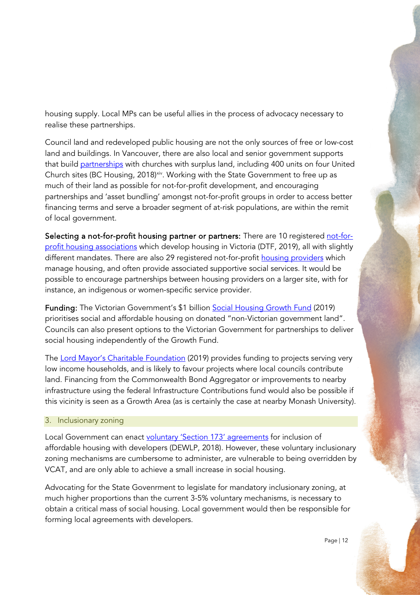housing supply. Local MPs can be useful allies in the process of advocacy necessary to realise these partnerships.

Council land and redeveloped public housing are not the only sources of free or low-cost land and buildings. In Vancouver, there are also local and senior government supports that build [partnerships](https://www.bchousing.org/news?newsId=1479151199321) with churches with surplus land, including 400 units on four United Church sites (BC Housing, 2018)<sup>xiv</sup>. Working with the State Government to free up as much of their land as possible for not-for-profit development, and encouraging partnerships and 'asset bundling' amongst not-for-profit groups in order to access better financing terms and serve a broader segment of at-risk populations, are within the remit of local government.

Selecting a not-for-profit housing partner or partners: There are 10 registered [not-for](https://chimes.force.com/RegisteredHousing?aType=ha)profit [housing associations](https://chimes.force.com/RegisteredHousing?aType=ha) which develop housing in Victoria (DTF, 2019), all with slightly different mandates. There are also 29 registered not-for-profit [housing providers](http://www.housingregistrar.vic.gov.au/Who-we-regulate/Housing-providers) which manage housing, and often provide associated supportive social services. It would be possible to encourage partnerships between housing providers on a larger site, with for instance, an indigenous or women-specific service provider.

Funding: The Victorian Government's \$1 billion [Social Housing Growth Fund](https://www.dhhs.vic.gov.au/victorian-social-housing-growth-fund) (2019) prioritises social and affordable housing on donated "non-Victorian government land". Councils can also present options to the Victorian Government for partnerships to deliver social housing independently of the Growth Fund.

The [Lord Mayor's Charitable Foundation](https://www.lmcf.org.au/our-impact/homelessness-affordable-housing) (2019) provides funding to projects serving very low income households, and is likely to favour projects where local councils contribute land. Financing from the Commonwealth Bond Aggregator or improvements to nearby infrastructure using the federal Infrastructure Contributions fund would also be possible if this vicinity is seen as a Growth Area (as is certainly the case at nearby Monash University).

### 3. Inclusionary zoning

Local Government can enact [voluntary 'Section 173' agreements](https://www.planning.vic.gov.au/policy-and-strategy/affordable-housing/example-agreement) for inclusion of affordable housing with developers (DEWLP, 2018). However, these voluntary inclusionary zoning mechanisms are cumbersome to administer, are vulnerable to being overridden by VCAT, and are only able to achieve a small increase in social housing.

Advocating for the State Govenrment to legislate for mandatory inclusionary zoning, at much higher proportions than the current 3-5% voluntary mechanisms, is necessary to obtain a critical mass of social housing. Local government would then be responsible for forming local agreements with developers.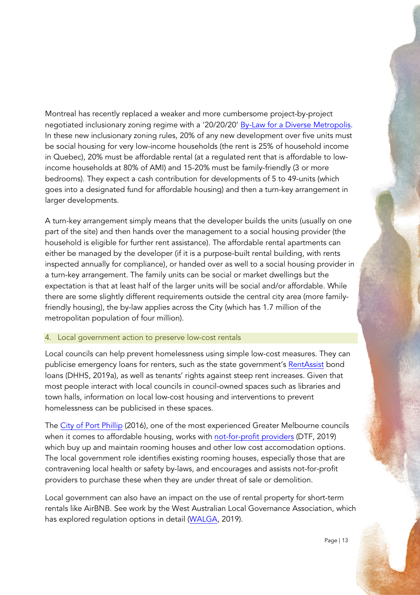Montreal has recently replaced a weaker and more cumbersome project-by-project negotiated inclusionary zoning regime with a '20/20/20' [By-Law for a Diverse Metropolis.](https://ville.montreal.qc.ca/portal/page?_pageid=9437,143289838&_dad=portal&_schema=PORTAL) In these new inclusionary zoning rules, 20% of any new development over five units must be social housing for very low-income households (the rent is 25% of household income in Quebec), 20% must be affordable rental (at a regulated rent that is affordable to lowincome households at 80% of AMI) and 15-20% must be family-friendly (3 or more bedrooms). They expect a cash contribution for developments of 5 to 49-units (which goes into a designated fund for affordable housing) and then a turn-key arrangement in larger developments.

A turn-key arrangement simply means that the developer builds the units (usually on one part of the site) and then hands over the management to a social housing provider (the household is eligible for further rent assistance). The affordable rental apartments can either be managed by the developer (if it is a purpose-built rental building, with rents inspected annually for compliance), or handed over as well to a social housing provider in a turn-key arrangement. The family units can be social or market dwellings but the expectation is that at least half of the larger units will be social and/or affordable. While there are some slightly different requirements outside the central city area (more familyfriendly housing), the by-law applies across the City (which has 1.7 million of the metropolitan population of four million).

### 4. Local government action to preserve low-cost rentals

Local councils can help prevent homelessness using simple low-cost measures. They can publicise emergency loans for renters, such as the state government's [RentAssist](https://www.housing.vic.gov.au/rentassist-bond-loan) bond loans (DHHS, 2019a), as well as tenants' rights against steep rent increases. Given that most people interact with local councils in council-owned spaces such as libraries and town halls, information on local low-cost housing and interventions to prevent homelessness can be publicised in these spaces.

The [City of Port](http://www.portphillip.vic.gov.au/m/In_Our_Backyard_-_draft_for_adoption_April_2016_V2_-_7_April_2015(1).pdf) Phillip (2016), one of the most experienced Greater Melbourne councils when it comes to affordable housing, works with [not-for-profit](https://chimes.force.com/registeredhousingdetail?accId=0019000001U1eW2AAJ) providers (DTF, 2019) which buy up and maintain rooming houses and other low cost accomodation options. The local government role identifies existing rooming houses, especially those that are contravening local health or safety by-laws, and encourages and assists not-for-profit providers to purchase these when they are under threat of sale or demolition.

Local government can also have an impact on the use of rental property for short-term rentals like AirBNB. See work by the West Australian Local Governance Association, which has explored regulation options in detail [\(WALGA,](https://walga.asn.au/News,-Events-and-Publications/Media/Short-Stay-Recommendations-Recognise-Local-Input) 2019).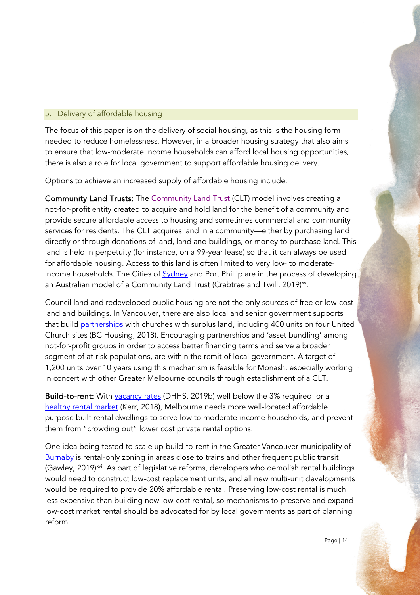### 5. Delivery of affordable housing

The focus of this paper is on the delivery of social housing, as this is the housing form needed to reduce homelessness. However, in a broader housing strategy that also aims to ensure that low-moderate income households can afford local housing opportunities, there is also a role for local government to support affordable housing delivery.

Options to achieve an increased supply of affordable housing include:

[Community Land Trust](https://www.ahuri.edu.au/__data/assets/pdf_file/0006/3102/AHURI_Research_Paper_Principles-and-practices-of-an-affordable-housing-community-land-trust-model.pdf)s: The Community Land Trust (CLT) model involves creating a not-for-profit entity created to acquire and hold land for the benefit of a community and provide secure affordable access to housing and sometimes commercial and community services for residents. The CLT acquires land in a community—either by purchasing land directly or through donations of land, land and buildings, or money to purchase land. This land is held in perpetuity (for instance, on a 99-year lease) so that it can always be used for affordable housing. Access to this land is often limited to very low- to moderateincome households. The Cities of **Sydney** and Port Phillip are in the process of developing an Australian model of a Community Land Trust (Crabtree and Twill, 2019)<sup>[xv](#page-15-14)</sup>.

Council land and redeveloped public housing are not the only sources of free or low-cost land and buildings. In Vancouver, there are also local and senior government supports that build [partnerships](https://www.bchousing.org/news?newsId=1479151199321) with churches with surplus land, including 400 units on four United Church sites (BC Housing, 2018). Encouraging partnerships and 'asset bundling' among not-for-profit groups in order to access better financing terms and serve a broader segment of at-risk populations, are within the remit of local government. A target of 1,200 units over 10 years using this mechanism is feasible for Monash, especially working in concert with other Greater Melbourne councils through establishment of a CLT.

Build-to-rent: With [vacancy rates](https://www.dhhs.vic.gov.au/publications/rental-report) (DHHS, 2019b) well below the 3% required for a [healthy rental market](https://www.abc.net.au/news/2018-08-24/rental-vacancy-rate-drops-again-in-victoria/10155782) (Kerr, 2018), Melbourne needs more well-located affordable purpose built rental dwellings to serve low to moderate-income households, and prevent them from "crowding out" lower cost private rental options.

One idea being tested to scale up build-to-rent in the Greater Vancouver municipality of [Burnaby](https://www.vancouverisawesome.com/2019/05/28/rental-only-zoning-housing-burnaby-bc/) is rental-only zoning in areas close to trains and other frequent public transit (Gawley, 2019)<sup>xvi</sup>. As part of legislative reforms, developers who demolish rental buildings would need to construct low-cost replacement units, and all new multi-unit developments would be required to provide 20% affordable rental. Preserving low-cost rental is much less expensive than building new low-cost rental, so mechanisms to preserve and expand low-cost market rental should be advocated for by local governments as part of planning reform.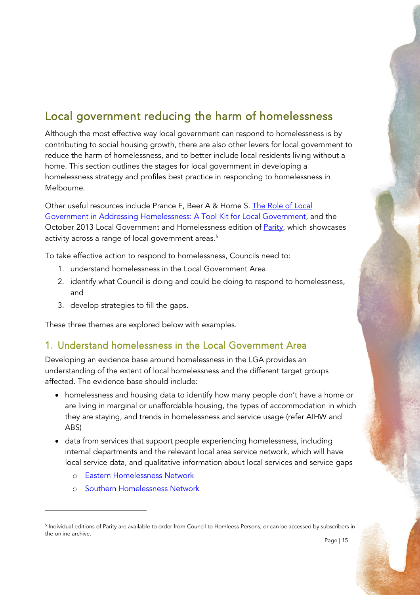# Local government reducing the harm of homelessness

Although the most effective way local government can respond to homelessness is by contributing to social housing growth, there are also other levers for local government to reduce the harm of homelessness, and to better include local residents living without a home. This section outlines the stages for local government in developing a homelessness strategy and profiles best practice in responding to homelessness in Melbourne.

Other useful resources include Prance F, Beer A & Horne S. [The Role of Local](https://apo.org.au/sites/default/files/resource-files/2013/05/apo-nid68485-1224086.pdf)  [Government in Addressing Homelessness: A Tool Kit for Local Government,](https://apo.org.au/sites/default/files/resource-files/2013/05/apo-nid68485-1224086.pdf) and the October 2013 Local Government and Homelessness edition of **Parity**, which showcases activity across a range of local government areas. [5](#page-14-0)

To take effective action to respond to homelessness, Councils need to:

- 1. understand homelessness in the Local Government Area
- 2. identify what Council is doing and could be doing to respond to homelessness, and
- 3. develop strategies to fill the gaps.

These three themes are explored below with examples.

### 1. Understand homelessness in the Local Government Area

Developing an evidence base around homelessness in the LGA provides an understanding of the extent of local homelessness and the different target groups affected. The evidence base should include:

- homelessness and housing data to identify how many people don't have a home or are living in marginal or unaffordable housing, the types of accommodation in which they are staying, and trends in homelessness and service usage (refer AIHW and ABS)
- data from services that support people experiencing homelessness, including internal departments and the relevant local area service network, which will have local service data, and qualitative information about local services and service gaps
	- o [Eastern Homelessness Network](https://www.ehn.org.au/)
	- o [Southern Homelessness Network](https://www.shsnetwork.online/)

<span id="page-14-0"></span><sup>&</sup>lt;sup>5</sup> Individual editions of Parity are available to order from Council to Homleess Persons, or can be accessed by subscribers in the online archive.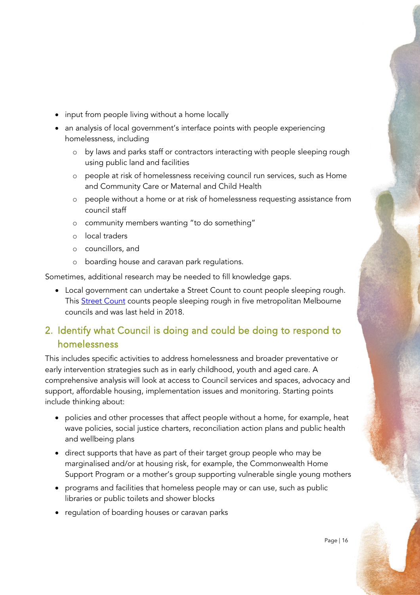- input from people living without a home locally
- an analysis of local government's interface points with people experiencing homelessness, including
	- o by laws and parks staff or contractors interacting with people sleeping rough using public land and facilities
	- o people at risk of homelessness receiving council run services, such as Home and Community Care or Maternal and Child Health
	- o people without a home or at risk of homelessness requesting assistance from council staff
	- o community members wanting "to do something"
	- o local traders
	- o councillors, and
	- o boarding house and caravan park regulations.

<span id="page-15-4"></span><span id="page-15-3"></span><span id="page-15-2"></span><span id="page-15-1"></span><span id="page-15-0"></span>Sometimes, additional research may be needed to fill knowledge gaps.

• Local government can undertake a Street Count to count people sleeping rough. This **Street Count** counts people sleeping rough in five metropolitan Melbourne councils and was last held in 2018.

# <span id="page-15-7"></span><span id="page-15-6"></span><span id="page-15-5"></span>2. Identify what Council is doing and could be doing to respond to homelessness

<span id="page-15-10"></span><span id="page-15-9"></span><span id="page-15-8"></span>This includes specific activities to address homelessness and broader preventative or early intervention strategies such as in early childhood, youth and aged care. A comprehensive analysis will look at access to Council services and spaces, advocacy and support, affordable housing, implementation issues and monitoring. Starting points include thinking about:

- <span id="page-15-11"></span>• policies and other processes that affect people without a home, for example, heat wave policies, social justice charters, reconciliation action plans and public health and wellbeing plans
- <span id="page-15-13"></span><span id="page-15-12"></span>• direct supports that have as part of their target group people who may be marginalised and/or at housing risk, for example, the Commonwealth Home Support Program or a mother's group supporting vulnerable single young mothers
- <span id="page-15-14"></span>• programs and facilities that homeless people may or can use, such as public libraries or public toilets and shower blocks
- <span id="page-15-15"></span>• regulation of boarding houses or caravan parks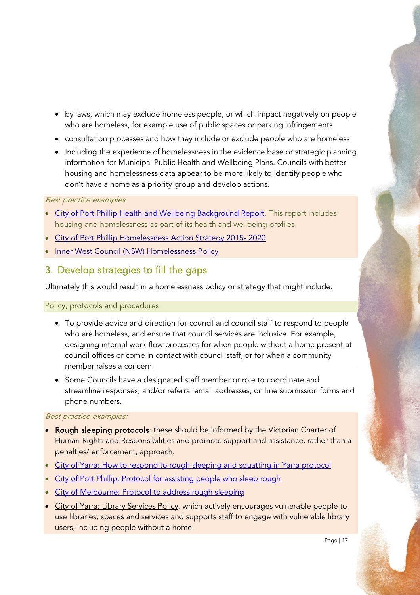- by laws, which may exclude homeless people, or which impact negatively on people who are homeless, for example use of public spaces or parking infringements
- consultation processes and how they include or exclude people who are homeless
- Including the experience of homelessness in the evidence base or strategic planning information for Municipal Public Health and Wellbeing Plans. Councils with better housing and homelessness data appear to be more likely to identify people who don't have a home as a priority group and develop actions.

### Best practice examples

- [City of Port Phillip Health and Wellbeing Background Report.](http://www.portphillip.vic.gov.au/default/CommunityandHealthDevelopmentDocuments/2._DRAFT_Our_Health_and_Wellbeing_-_Background_Report.pdf) This report includes housing and homelessness as part of its health and wellbeing profiles.
- City of Port Phillip Homelessness Action Strategy 2015-2020
- [Inner West Council \(NSW\) Homelessness Policy](https://www.innerwest.nsw.gov.au/ArticleDocuments/1583/Homelessness%20Policy%20-%20Final.pdf.aspx)

### 3. Develop strategies to fill the gaps

Ultimately this would result in a homelessness policy or strategy that might include:

### Policy, protocols and procedures

- To provide advice and direction for council and council staff to respond to people who are homeless, and ensure that council services are inclusive. For example, designing internal work-flow processes for when people without a home present at council offices or come in contact with council staff, or for when a community member raises a concern.
- Some Councils have a designated staff member or role to coordinate and streamline responses, and/or referral email addresses, on line submission forms and phone numbers.

#### Best practice examples:

- Rough sleeping protocols: these should be informed by the Victorian Charter of Human Rights and Responsibilities and promote support and assistance, rather than a penalties/ enforcement, approach.
- [City of Yarra: How to respond to rough sleeping and squatting in Yarra protocol](https://www.yarracity.vic.gov.au/the-area/diversity-and-inclusion/homelessness-and-rough-sleeping)
- [City of Port Phillip: Protocol for assisting people who sleep rough](http://www.portphillip.vic.gov.au/default/protocol-assisting-people-sleeping-rough.pdf)
- [City of Melbourne: Protocol to address rough sleeping](https://www.melbourne.vic.gov.au/sitecollectiondocuments/homelessness-operating-protocol.pdf)
- [City of Yarra: Library Services Policy,](https://www.yarracity.vic.gov.au/-/media/files/libraries/library-strategic-plan-2017-2020.pdf?la=en&hash=B89C0294F06FC0D15DC22DBD46600998582587A8) which actively encourages vulnerable people to use libraries, spaces and services and supports staff to engage with vulnerable library users, including people without a home.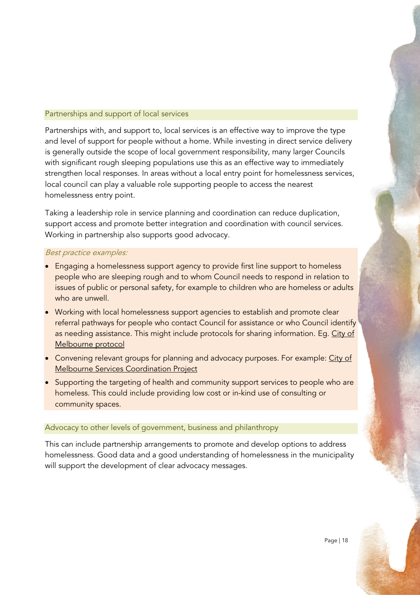### Partnerships and support of local services

Partnerships with, and support to, local services is an effective way to improve the type and level of support for people without a home. While investing in direct service delivery is generally outside the scope of local government responsibility, many larger Councils with significant rough sleeping populations use this as an effective way to immediately strengthen local responses. In areas without a local entry point for homelessness services, local council can play a valuable role supporting people to access the nearest homelessness entry point.

Taking a leadership role in service planning and coordination can reduce duplication, support access and promote better integration and coordination with council services. Working in partnership also supports good advocacy.

### Best practice examples:

- Engaging a homelessness support agency to provide first line support to homeless people who are sleeping rough and to whom Council needs to respond in relation to issues of public or personal safety, for example to children who are homeless or adults who are unwell.
- Working with local homelessness support agencies to establish and promote clear referral pathways for people who contact Council for assistance or who Council identify as needing assistance. This might include protocols for sharing information. Eg. City of [Melbourne protocol](https://www.melbourne.vic.gov.au/community/health-support-services/social-support/Pages/homelessness.aspx)
- Convening relevant groups for planning and advocacy purposes. For example: City of [Melbourne Services Coordination Project](https://www.melbourne.vic.gov.au/community/health-support-services/social-support/pages/homelessness-our-work.aspx#networks)
- Supporting the targeting of health and community support services to people who are homeless. This could include providing low cost or in-kind use of consulting or community spaces.

#### Advocacy to other levels of government, business and philanthropy

This can include partnership arrangements to promote and develop options to address homelessness. Good data and a good understanding of homelessness in the municipality will support the development of clear advocacy messages.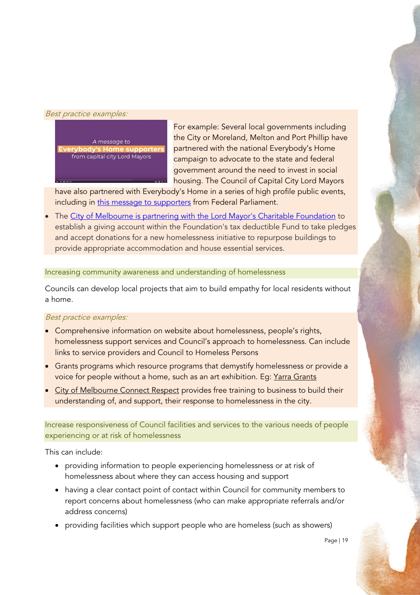#### Best practice examples:



For example: Several local governments including the City or Moreland, Melton and Port Phillip have partnered with the national Everybody's Home campaign to advocate to the state and federal government around the need to invest in social housing. The Council of Capital City Lord Mayors

have also partnered with Everybody's Home in a series of high profile public events, including in [this message to supporters](https://youtu.be/JPyY7STMhMA) from Federal Parliament.

The [City of Melbourne is partnering with the Lord Mayor's Charitable Foundation](https://www.melbourne.vic.gov.au/news-and-media/Pages/Melbourne-unites-on-World-Homeless-Day.aspx) to establish a giving account within the Foundation's tax deductible Fund to take pledges and accept donations for a new homelessness initiative to repurpose buildings to provide appropriate accommodation and house essential services.

#### Increasing community awareness and understanding of homelessness

Councils can develop local projects that aim to build empathy for local residents without a home.

#### Best practice examples:

- Comprehensive information on website about homelessness, people's rights, homelessness support services and Council's approach to homelessness. Can include links to service providers and Council to Homeless Persons
- Grants programs which resource programs that demystify homelessness or provide a voice for people without a home, such as an art exhibition. Eg: [Yarra Grants](https://www.yarracity.vic.gov.au/about-us/grants/creative-yarra-and-engage-yarra-grants)
- **[City of Melbourne Connect Respect](https://www.melbourne.vic.gov.au/community/health-support-services/social-support/pages/homelessness-business-help.aspx) provides free training to business to build their** understanding of, and support, their response to homelessness in the city.

Increase responsiveness of Council facilities and services to the various needs of people experiencing or at risk of homelessness

This can include:

- providing information to people experiencing homelessness or at risk of homelessness about where they can access housing and support
- having a clear contact point of contact within Council for community members to report concerns about homelessness (who can make appropriate referrals and/or address concerns)
- providing facilities which support people who are homeless (such as showers)